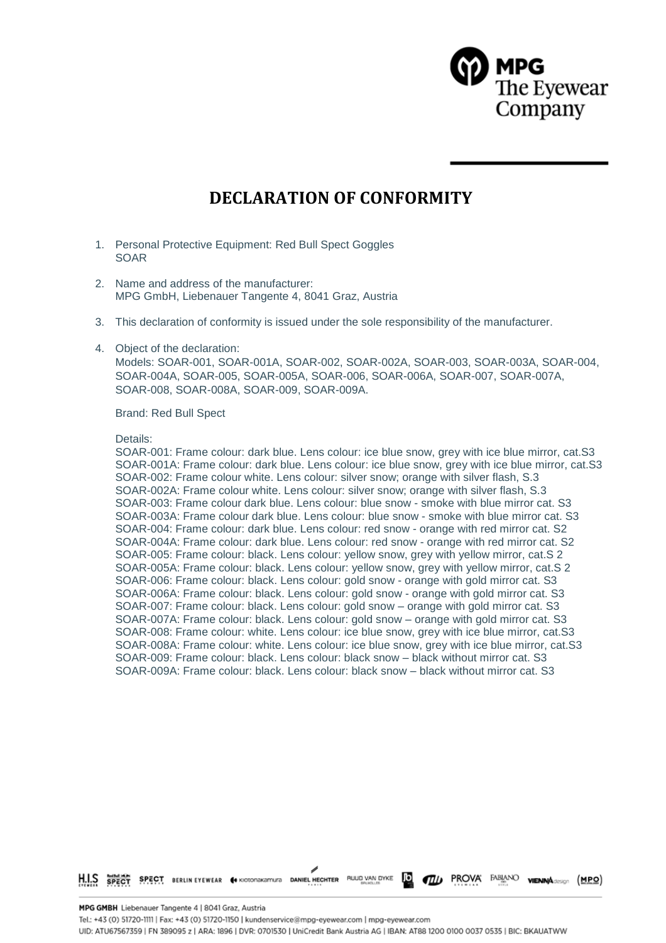

## **DECLARATION OF CONFORMITY**

- 1. Personal Protective Equipment: Red Bull Spect Goggles SOAR
- 2. Name and address of the manufacturer: MPG GmbH, Liebenauer Tangente 4, 8041 Graz, Austria
- 3. This declaration of conformity is issued under the sole responsibility of the manufacturer.
- 4. Object of the declaration: Models: SOAR-001, SOAR-001A, SOAR-002, SOAR-002A, SOAR-003, SOAR-003A, SOAR-004, SOAR-004A, SOAR-005, SOAR-005A, SOAR-006, SOAR-006A, SOAR-007, SOAR-007A, SOAR-008, SOAR-008A, SOAR-009, SOAR-009A.

Brand: Red Bull Spect

Details:

SOAR-001: Frame colour: dark blue. Lens colour: ice blue snow, grey with ice blue mirror, cat.S3 SOAR-001A: Frame colour: dark blue. Lens colour: ice blue snow, grey with ice blue mirror, cat.S3 SOAR-002: Frame colour white. Lens colour: silver snow; orange with silver flash, S.3 SOAR-002A: Frame colour white. Lens colour: silver snow; orange with silver flash, S.3 SOAR-003: Frame colour dark blue. Lens colour: blue snow - smoke with blue mirror cat. S3 SOAR-003A: Frame colour dark blue. Lens colour: blue snow - smoke with blue mirror cat. S3 SOAR-004: Frame colour: dark blue. Lens colour: red snow - orange with red mirror cat. S2 SOAR-004A: Frame colour: dark blue. Lens colour: red snow - orange with red mirror cat. S2 SOAR-005: Frame colour: black. Lens colour: yellow snow, grey with yellow mirror, cat.S 2 SOAR-005A: Frame colour: black. Lens colour: yellow snow, grey with yellow mirror, cat.S 2 SOAR-006: Frame colour: black. Lens colour: gold snow - orange with gold mirror cat. S3 SOAR-006A: Frame colour: black. Lens colour: gold snow - orange with gold mirror cat. S3 SOAR-007: Frame colour: black. Lens colour: gold snow – orange with gold mirror cat. S3 SOAR-007A: Frame colour: black. Lens colour: gold snow – orange with gold mirror cat. S3 SOAR-008: Frame colour: white. Lens colour: ice blue snow, grey with ice blue mirror, cat.S3 SOAR-008A: Frame colour: white. Lens colour: ice blue snow, grey with ice blue mirror, cat.S3 SOAR-009: Frame colour: black. Lens colour: black snow – black without mirror cat. S3 SOAR-009A: Frame colour: black. Lens colour: black snow – black without mirror cat. S3

RUUD VAN DYKE

**PROVA** FABIANO

VIENNA<sub>clesson</sub> (MPO)

**SPECT BERLIN EYEWEAR** 

MPG GMBH Liebenauer Tangente 4 | 8041 Graz, Austria

e kiotonakamura

Tel.: +43 (0) 51720-1111 | Fax: +43 (0) 51720-1150 | kundenservice@mpg-eyewear.com | mpg-eyewear.com UID: ATU67567359 | FN 389095 z | ARA: 1896 | DVR: 0701530 | UniCredit Bank Austria AG | IBAN: AT88 1200 0100 0037 0535 | BIC: BKAUATWW

**DANIEL HECHTER**